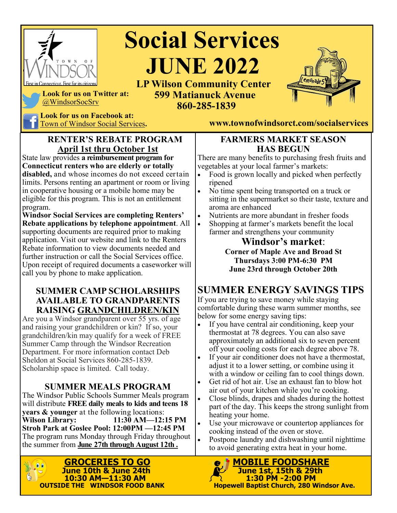

# **Social Services**  *SR* **JUNE 2022**

#### **LP Wilson Community Center 599 Matianuck Avenue 860-285-1839**



**Look for us on Twitter at:**  @WindsorSocSrv

Look for us on Facebook at:<br>Town of Windsor Social Services.

#### **RENTER'S REBATE PROGRAM April 1st thru October 1st**

State law provides **a reimbursement program for Connecticut renters who are elderly or totally disabled,** and whose incomes do not exceed certain limits. Persons renting an apartment or room or living in cooperative housing or a mobile home may be eligible for this program. This is not an entitlement program.

**Windsor Social Services are completing Renters' Rebate applications by telephone appointment**. All supporting documents are required prior to making application. Visit our website and link to the Renters Rebate information to view documents needed and further instruction or call the Social Services office. Upon receipt of required documents a caseworker will call you by phone to make application.

#### **SUMMER CAMP SCHOLARSHIPS AVAILABLE TO GRANDPARENTS RAISING GRANDCHILDREN/KIN**

Are you a Windsor grandparent over 55 yrs. of age and raising your grandchildren or kin? If so, your grandchildren/kin may qualify for a week of FREE Summer Camp through the Windsor Recreation Department. For more information contact Deb Sheldon at Social Services 860-285-1839. Scholarship space is limited. Call today.

#### **SUMMER MEALS PROGRAM**

The Windsor Public Schools Summer Meals program will distribute **FREE daily meals to kids and teens 18 years & younger** at the following locations:<br>**Wilson Library:** 11:30 AM-12: **Wilson Library: 11:30 AM—12:15 PM Stroh Park at Goslee Pool: 12:00PM —12:45 PM** The program runs Monday through Friday throughout the summer from **June 27th through August 12th .**



Town of Windsor Social Services**. www.townofwindsorct.com/socialservices**

#### **FARMERS MARKET SEASON HAS BEGUN**

There are many benefits to purchasing fresh fruits and vegetables at your local farmer's markets:

- Food is grown locally and picked when perfectly ripened
- No time spent being transported on a truck or sitting in the supermarket so their taste, texture and aroma are enhanced
- Nutrients are more abundant in fresher foods
- Shopping at farmer's markets benefit the local farmer and strengthens your community

**Windsor's market**: **Corner of Maple Ave and Broad St Thursdays 3:00 PM-6:30 PM June 23rd through October 20th**

## **SUMMER ENERGY SAVINGS TIPS**

If you are trying to save money while staying comfortable during these warm summer months, see below for some energy saving tips:

- If you have central air conditioning, keep your thermostat at 78 degrees. You can also save approximately an additional six to seven percent off your cooling costs for each degree above 78.
- If your air conditioner does not have a thermostat, adjust it to a lower setting, or combine using it with a window or ceiling fan to cool things down.
- Get rid of hot air. Use an exhaust fan to blow hot air out of your kitchen while you're cooking.
- Close blinds, drapes and shades during the hottest part of the day. This keeps the strong sunlight from heating your home.
- Use your microwave or countertop appliances for cooking instead of the oven or stove.
- Postpone laundry and dishwashing until nighttime to avoid generating extra heat in your home.